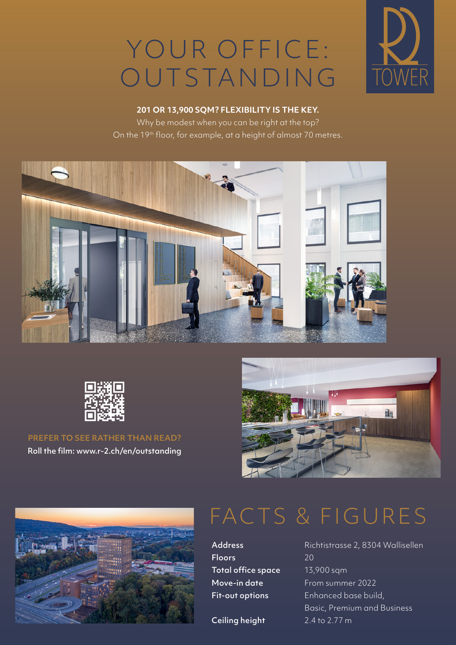## YOUR OFFICE: OUTSTANDING



#### **201 OR 13,900 SQM ? FLEXIBILITY IS THE KEY.**

Why be modest when you can be right at the top? On the 19<sup>th</sup> floor, for example, at a height of almost 70 metres.





**PREFER TO SEE RATHER THAN READ?** Roll the film: www.r-2.ch/en/outstanding





### FACTS & FIGURES

Floors 20 Total office space 13,900 sqm

Ceiling height 2.4 to 2.77 m

Address Richtistrasse 2, 8304 Wallisellen Move-in date From summer 2022 Fit-out options Enhanced base build, Basic, Premium and Business